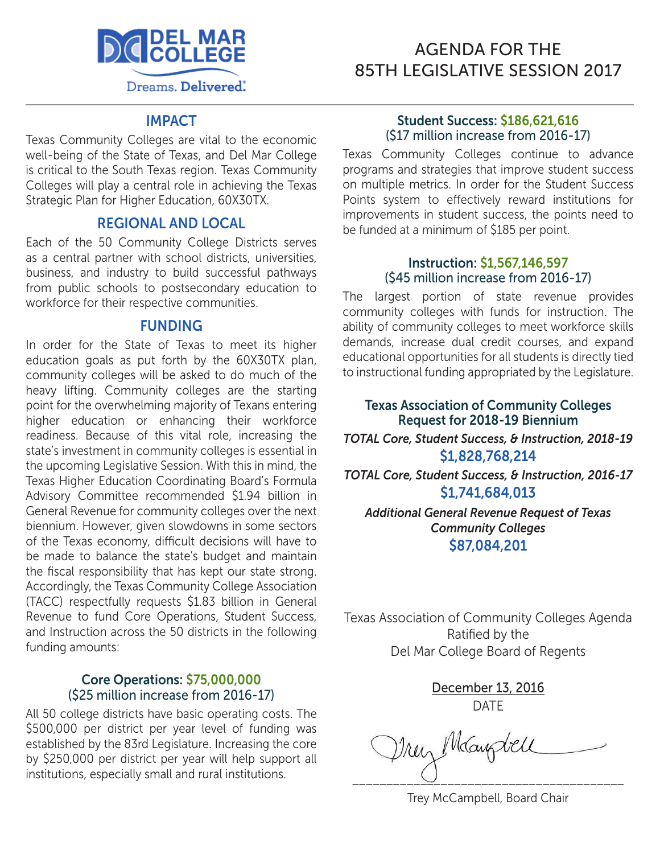

# AGENDA FOR THE 85TH LEGISLATIVE SESSION 2017

#### IMPACT

Texas Community Colleges are vital to the economic well-being of the State of Texas, and Del Mar College is critical to the South Texas region. Texas Community Colleges will play a central role in achieving the Texas Strategic Plan for Higher Education, 60X30TX.

#### REGIONAL AND LOCAL

Each of the 50 Community College Districts serves as a central partner with school districts, universities, business, and industry to build successful pathways from public schools to postsecondary education to workforce for their respective communities.

#### FUNDING

In order for the State of Texas to meet its higher education goals as put forth by the 60X30TX plan, community colleges will be asked to do much of the heavy lifting. Community colleges are the starting point for the overwhelming majority of Texans entering higher education or enhancing their workforce readiness. Because of this vital role, increasing the state's investment in community colleges is essential in the upcoming Legislative Session. With this in mind, the Texas Higher Education Coordinating Board's Formula Advisory Committee recommended \$1.94 billion in General Revenue for community colleges over the next biennium. However, given slowdowns in some sectors of the Texas economy, difficult decisions will have to be made to balance the state's budget and maintain the fiscal responsibility that has kept our state strong. Accordingly, the Texas Community College Association (TACC) respectfully requests \$1.83 billion in General Revenue to fund Core Operations, Student Success, and Instruction across the 50 districts in the following funding amounts:

#### Core Operations: \$75,000,000 (\$25 million increase from 2016-17)

All 50 college districts have basic operating costs. The \$500,000 per district per year level of funding was established by the 83rd Legislature. Increasing the core by \$250,000 per district per year will help support all institutions, especially small and rural institutions.

#### Student Success: \$186,621,616 (\$17 million increase from 2016-17)

Texas Community Colleges continue to advance programs and strategies that improve student success on multiple metrics. In order for the Student Success Points system to effectively reward institutions for improvements in student success, the points need to be funded at a minimum of \$185 per point.

#### Instruction: \$1,567,146,597 (\$45 million increase from 2016-17)

The largest portion of state revenue provides community colleges with funds for instruction. The ability of community colleges to meet workforce skills demands, increase dual credit courses, and expand educational opportunities for all students is directly tied to instructional funding appropriated by the Legislature.

#### Texas Association of Community Colleges Request for 2018-19 Biennium

*TOTAL Core, Student Success, & Instruction, 2018-19*  \$1,828,768,214

*TOTAL Core, Student Success, & Instruction, 2016-17*  \$1,741,684,013

*Additional General Revenue Request of Texas Community Colleges* \$87,084,201

Texas Association of Community Colleges Agenda Ratified by the Del Mar College Board of Regents

> December 13, 2016 DATE

Trey Magdell \_\_\_\_\_\_\_\_\_\_\_\_\_\_\_\_\_\_\_\_\_\_\_\_\_\_\_\_\_\_\_\_\_\_\_\_\_\_\_\_

Trey McCampbell, Board Chair